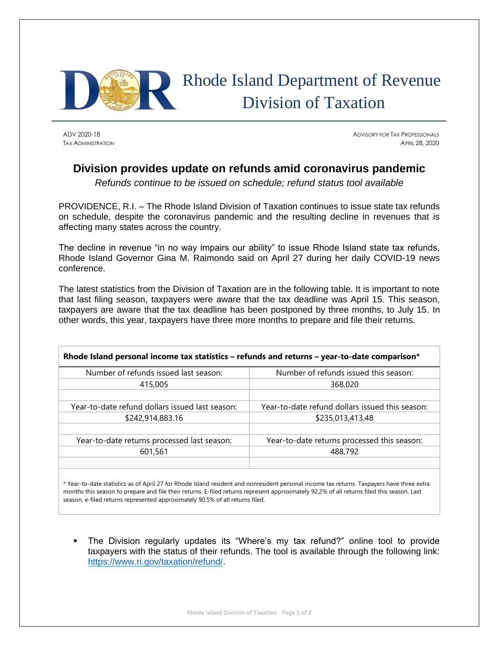

## Rhode Island Department of Revenue Division of Taxation

ADV 2020-18 ADVISORY FOR TAX PROFESSIONALS TAX ADMINISTRATION **APRIL 28, 2020 APRIL 28, 2020** 

## **Division provides update on refunds amid coronavirus pandemic**

*Refunds continue to be issued on schedule; refund status tool available*

PROVIDENCE, R.I. – The Rhode Island Division of Taxation continues to issue state tax refunds on schedule, despite the coronavirus pandemic and the resulting decline in revenues that is affecting many states across the country.

The decline in revenue "in no way impairs our ability" to issue Rhode Island state tax refunds, Rhode Island Governor Gina M. Raimondo said on April 27 during her daily COVID-19 news conference.

The latest statistics from the Division of Taxation are in the following table. It is important to note that last filing season, taxpayers were aware that the tax deadline was April 15. This season, taxpayers are aware that the tax deadline has been postponed by three months, to July 15. In other words, this year, taxpayers have three more months to prepare and file their returns.

| Rhode Island personal income tax statistics – refunds and returns – year-to-date comparison* |                                                 |
|----------------------------------------------------------------------------------------------|-------------------------------------------------|
| Number of refunds issued last season:                                                        | Number of refunds issued this season:           |
| 415,005                                                                                      | 368,020                                         |
|                                                                                              |                                                 |
| Year-to-date refund dollars issued last season:                                              | Year-to-date refund dollars issued this season: |
| \$242,914,883.16                                                                             | \$235,013,413.48                                |
|                                                                                              |                                                 |
| Year-to-date returns processed last season:                                                  | Year-to-date returns processed this season:     |
| 601,561                                                                                      | 488,792                                         |
|                                                                                              |                                                 |
|                                                                                              |                                                 |

\* Year-to-date statistics as of April 27 for Rhode Island resident and nonresident personal income tax returns. Taxpayers have three extra months this season to prepare and file their returns. E-filed returns represent approximately 92.2% of all returns filed this season. Last season, e-filed returns represented approximately 90.5% of all returns filed.

The Division regularly updates its "Where's my tax refund?" online tool to provide taxpayers with the status of their refunds. The tool is available through the following link: [https://www.ri.gov/taxation/refund/.](https://www.ri.gov/taxation/refund/)